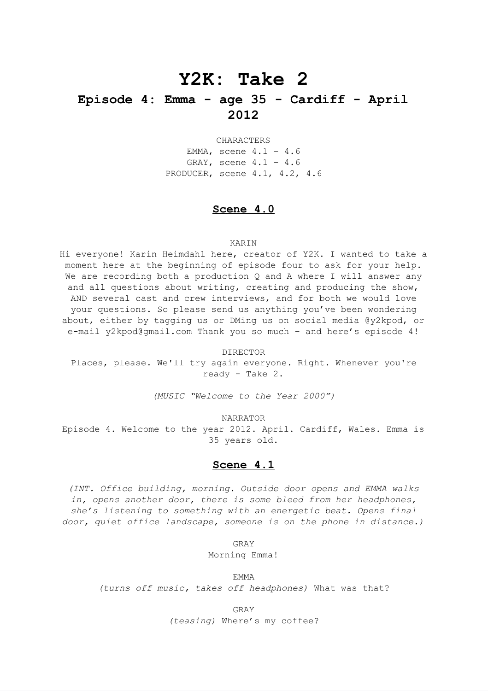# **Y2K: Take 2**

## **Episode 4: Emma - age 35 - Cardiff - April 2012**

CHARACTERS

EMMA, scene 4.1 – 4.6 GRAY, scene 4.1 – 4.6 PRODUCER, scene 4.1, 4.2, 4.6

### **Scene 4.0**

#### KARIN

Hi everyone! Karin Heimdahl here, creator of Y2K. I wanted to take a moment here at the beginning of episode four to ask for your help. We are recording both a production Q and A where I will answer any and all questions about writing, creating and producing the show, AND several cast and crew interviews, and for both we would love your questions. So please send us anything you've been wondering about, either by tagging us or DMing us on social media @y2kpod, or e-mail y2kpod@gmail.com Thank you so much - and here's episode 4!

DIRECTOR Places, please. We'll try again everyone. Right. Whenever you're ready - Take 2.

*(MUSIC "Welcome to the Year 2000")*

NARRATOR

Episode 4. Welcome to the year 2012. April. Cardiff, Wales. Emma is 35 years old.

### **Scene 4.1**

*(INT. Office building, morning. Outside door opens and EMMA walks in, opens another door, there is some bleed from her headphones, she's listening to something with an energetic beat. Opens final door, quiet office landscape, someone is on the phone in distance.)*

GRAY

Morning Emma!

EMMA *(turns off music, takes off headphones)* What was that?

> GRAY *(teasing)* Where's my coffee?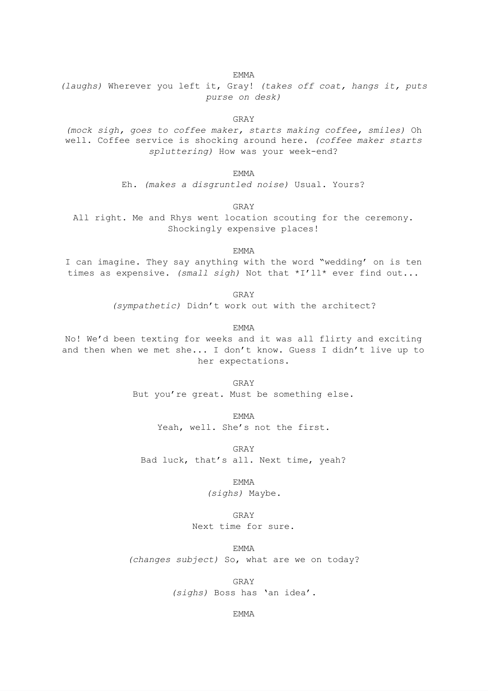*(laughs)* Wherever you left it, Gray! *(takes off coat, hangs it, puts purse on desk)*

GRAY

*(mock sigh, goes to coffee maker, starts making coffee, smiles)* Oh well. Coffee service is shocking around here. *(coffee maker starts spluttering)* How was your week-end?

EMMA

Eh. *(makes a disgruntled noise)* Usual. Yours?

GRAY

All right. Me and Rhys went location scouting for the ceremony. Shockingly expensive places!

EMMA

I can imagine. They say anything with the word "wedding' on is ten times as expensive. *(small sigh)* Not that \*I'll\* ever find out...

> GRAY *(sympathetic)* Didn't work out with the architect?

> > EMMA

No! We'd been texting for weeks and it was all flirty and exciting and then when we met she... I don't know. Guess I didn't live up to her expectations.

> GRAY But you're great. Must be something else.

> > EMMA

Yeah, well. She's not the first.

GRAY Bad luck, that's all. Next time, yeah?

EMMA

*(sighs)* Maybe.

GRAY

Next time for sure.

EMMA

*(changes subject)* So, what are we on today?

GRAY

*(sighs)* Boss has 'an idea'.

EMMA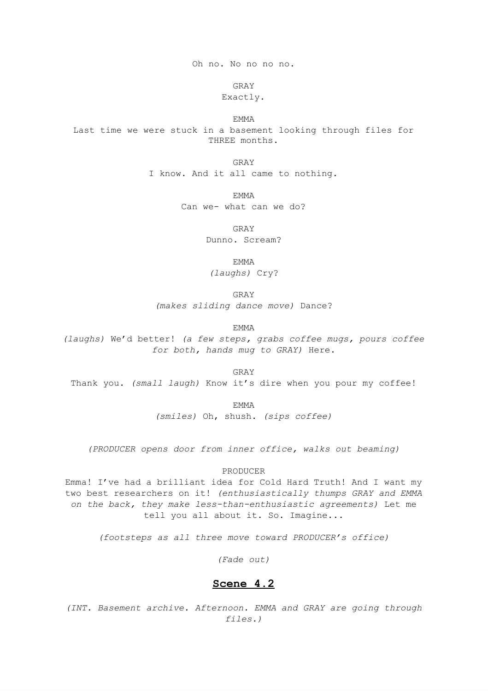Oh no. No no no no.

GRAY

### Exactly.

EMMA

Last time we were stuck in a basement looking through files for THREE months.

GRAY

I know. And it all came to nothing.

EMMA

Can we- what can we do?

GRAY Dunno. Scream?

EMMA

*(laughs)* Cry?

GRAY

*(makes sliding dance move)* Dance?

EMMA

*(laughs)* We'd better! *(a few steps, grabs coffee mugs, pours coffee for both, hands mug to GRAY)* Here.

GRAY

Thank you. *(small laugh)* Know it's dire when you pour my coffee!

EMMA

*(smiles)* Oh, shush. *(sips coffee)*

*(PRODUCER opens door from inner office, walks out beaming)*

PRODUCER

Emma! I've had a brilliant idea for Cold Hard Truth! And I want my two best researchers on it! *(enthusiastically thumps GRAY and EMMA on the back, they make less-than-enthusiastic agreements)* Let me tell you all about it. So. Imagine...

*(footsteps as all three move toward PRODUCER's office)*

*(Fade out)*

### **Scene 4.2**

*(INT. Basement archive. Afternoon. EMMA and GRAY are going through files.)*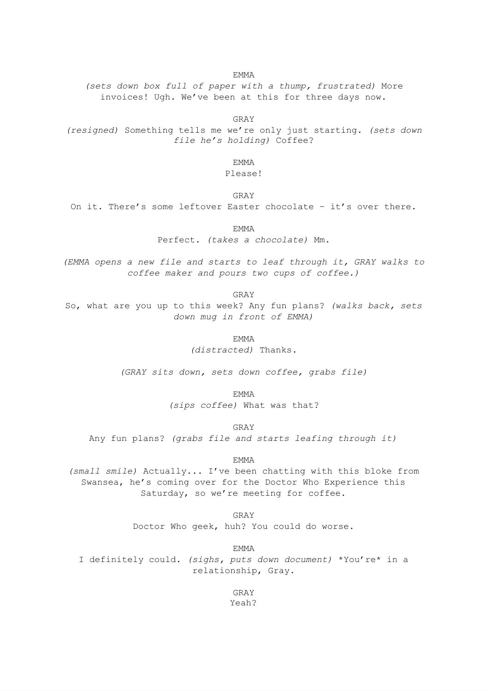*(sets down box full of paper with a thump, frustrated)* More invoices! Ugh. We've been at this for three days now.

GRAY

*(resigned)* Something tells me we're only just starting. *(sets down file he's holding)* Coffee?

EMMA

Please!

GRAY

On it. There's some leftover Easter chocolate – it's over there.

EMMA

Perfect. *(takes a chocolate)* Mm.

*(EMMA opens a new file and starts to leaf through it, GRAY walks to coffee maker and pours two cups of coffee.)*

GRAY

So, what are you up to this week? Any fun plans? *(walks back, sets down mug in front of EMMA)*

EMMA

*(distracted)* Thanks.

*(GRAY sits down, sets down coffee, grabs file)*

EMMA

*(sips coffee)* What was that?

GRAY

Any fun plans? *(grabs file and starts leafing through it)*

EMMA

*(small smile)* Actually... I've been chatting with this bloke from Swansea, he's coming over for the Doctor Who Experience this Saturday, so we're meeting for coffee.

GRAY

Doctor Who geek, huh? You could do worse.

EMMA

I definitely could. *(sighs, puts down document)* \*You're\* in a relationship, Gray.

> GRAY Yeah?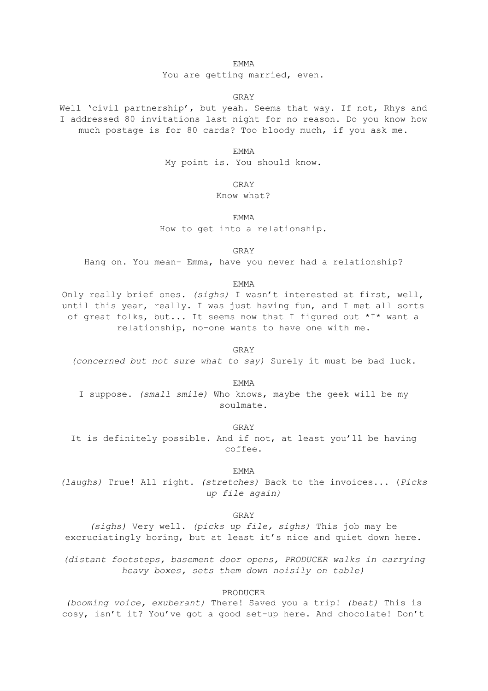You are getting married, even.

GRAY

Well 'civil partnership', but yeah. Seems that way. If not, Rhys and I addressed 80 invitations last night for no reason. Do you know how much postage is for 80 cards? Too bloody much, if you ask me.

EMMA

My point is. You should know.

GRAY

Know what?

EMMA

How to get into a relationship.

GRAY

Hang on. You mean- Emma, have you never had a relationship?

EMMA

Only really brief ones. *(sighs)* I wasn't interested at first, well, until this year, really. I was just having fun, and I met all sorts of great folks, but... It seems now that I figured out \*I\* want a relationship, no-one wants to have one with me.

GRAY

*(concerned but not sure what to say)* Surely it must be bad luck.

EMMA

I suppose. *(small smile)* Who knows, maybe the geek will be my soulmate.

GRAY

It is definitely possible. And if not, at least you'll be having coffee.

EMMA

*(laughs)* True! All right. *(stretches)* Back to the invoices... (*Picks up file again)*

GRAY

*(sighs)* Very well. *(picks up file, sighs)* This job may be excruciatingly boring, but at least it's nice and quiet down here.

*(distant footsteps, basement door opens, PRODUCER walks in carrying heavy boxes, sets them down noisily on table)*

PRODUCER

*(booming voice, exuberant)* There! Saved you a trip! *(beat)* This is cosy, isn't it? You've got a good set-up here. And chocolate! Don't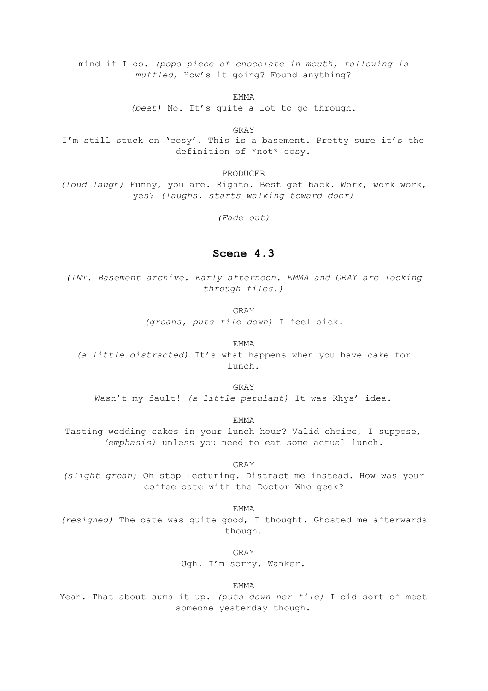mind if I do. *(pops piece of chocolate in mouth, following is muffled)* How's it going? Found anything?

EMMA

*(beat)* No. It's quite a lot to go through.

GRAY

I'm still stuck on 'cosy'. This is a basement. Pretty sure it's the definition of \*not\* cosy.

PRODUCER

*(loud laugh)* Funny, you are. Righto. Best get back. Work, work work, yes? *(laughs, starts walking toward door)*

*(Fade out)*

### **Scene 4.3**

*(INT. Basement archive. Early afternoon. EMMA and GRAY are looking through files.)*

GRAY

*(groans, puts file down)* I feel sick.

EMMA

*(a little distracted)* It's what happens when you have cake for lunch.

GRAY

Wasn't my fault! *(a little petulant)* It was Rhys' idea.

EMMA

Tasting wedding cakes in your lunch hour? Valid choice, I suppose, *(emphasis)* unless you need to eat some actual lunch.

GRAY

*(slight groan)* Oh stop lecturing. Distract me instead. How was your coffee date with the Doctor Who geek?

EMMA

*(resigned)* The date was quite good, I thought. Ghosted me afterwards though.

GRAY

Ugh. I'm sorry. Wanker.

EMMA

Yeah. That about sums it up. *(puts down her file)* I did sort of meet someone yesterday though.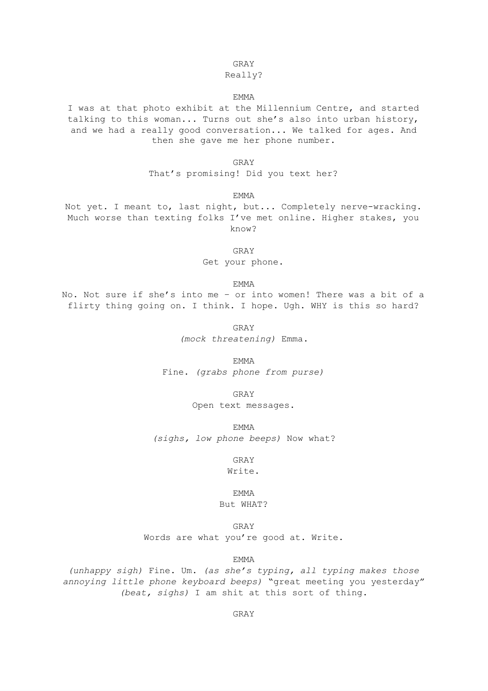#### GRAY

#### Really?

#### EMMA

I was at that photo exhibit at the Millennium Centre, and started talking to this woman... Turns out she's also into urban history, and we had a really good conversation... We talked for ages. And then she gave me her phone number.

GRAY

That's promising! Did you text her?

EMMA

Not yet. I meant to, last night, but... Completely nerve-wracking. Much worse than texting folks I've met online. Higher stakes, you know?

GRAY

Get your phone.

EMMA

No. Not sure if she's into me – or into women! There was a bit of a flirty thing going on. I think. I hope. Ugh. WHY is this so hard?

GRAY

*(mock threatening)* Emma.

EMMA Fine. *(grabs phone from purse)*

GRAY

Open text messages.

EMMA

*(sighs, low phone beeps)* Now what?

GRAY

Write.

EMMA But WHAT?

GRAY Words are what you're good at. Write.

EMMA

*(unhappy sigh)* Fine. Um. *(as she's typing, all typing makes those annoying little phone keyboard beeps)* "great meeting you yesterday" *(beat, sighs)* I am shit at this sort of thing.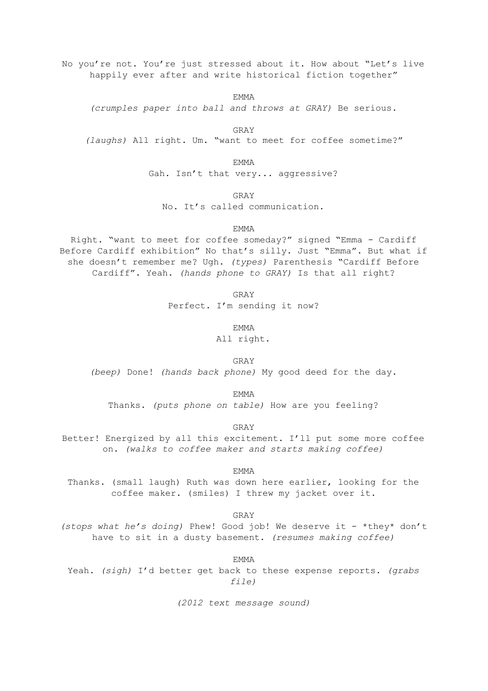No you're not. You're just stressed about it. How about "Let's live happily ever after and write historical fiction together"

EMMA

*(crumples paper into ball and throws at GRAY)* Be serious.

GRAY *(laughs)* All right. Um. "want to meet for coffee sometime?"

EMMA

Gah. Isn't that very... aggressive?

GRAY

No. It's called communication.

EMMA

Right. "want to meet for coffee someday?" signed "Emma - Cardiff Before Cardiff exhibition" No that's silly. Just "Emma". But what if she doesn't remember me? Ugh. *(types)* Parenthesis "Cardiff Before Cardiff". Yeah. *(hands phone to GRAY)* Is that all right?

GRAY

Perfect. I'm sending it now?

EMMA

All right.

GRAY *(beep)* Done! *(hands back phone)* My good deed for the day.

EMMA

Thanks. *(puts phone on table)* How are you feeling?

GRAY

Better! Energized by all this excitement. I'll put some more coffee on. *(walks to coffee maker and starts making coffee)*

EMMA

Thanks. (small laugh) Ruth was down here earlier, looking for the coffee maker. (smiles) I threw my jacket over it.

GRAY

*(stops what he's doing)* Phew! Good job! We deserve it - \*they\* don't have to sit in a dusty basement. *(resumes making coffee)*

EMMA

Yeah. *(sigh)* I'd better get back to these expense reports. *(grabs file)*

*(2012 text message sound)*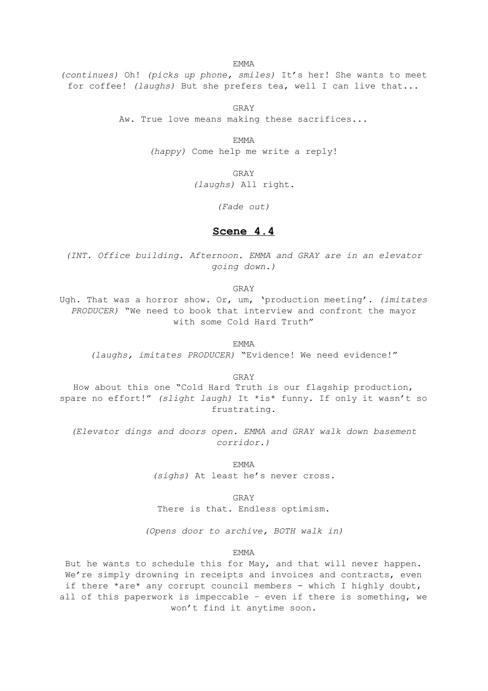*(continues)* Oh! *(picks up phone, smiles)* It's her! She wants to meet for coffee! *(laughs)* But she prefers tea, well I can live that...

> GRAY Aw. True love means making these sacrifices...

> > EMMA *(happy)* Come help me write a reply!

> > > GRAY *(laughs)* All right.

> > > > *(Fade out)*

### **Scene 4.4**

*(INT. Office building. Afternoon. EMMA and GRAY are in an elevator going down.)*

GRAY

Ugh. That was a horror show. Or, um, 'production meeting'. *(imitates PRODUCER)* "We need to book that interview and confront the mayor with some Cold Hard Truth"

EMMA

*(laughs, imitates PRODUCER)* "Evidence! We need evidence!"

GRAY

How about this one "Cold Hard Truth is our flagship production, spare no effort!" *(slight laugh)* It \*is\* funny. If only it wasn't so frustrating.

*(Elevator dings and doors open. EMMA and GRAY walk down basement corridor.)*

> EMMA *(sighs)* At least he's never cross.

> > GRAY

There is that. Endless optimism.

*(Opens door to archive, BOTH walk in)*

EMMA

But he wants to schedule this for May, and that will never happen. We're simply drowning in receipts and invoices and contracts, even if there \*are\* any corrupt council members - which I highly doubt, all of this paperwork is impeccable – even if there is something, we won't find it anytime soon.

EMMA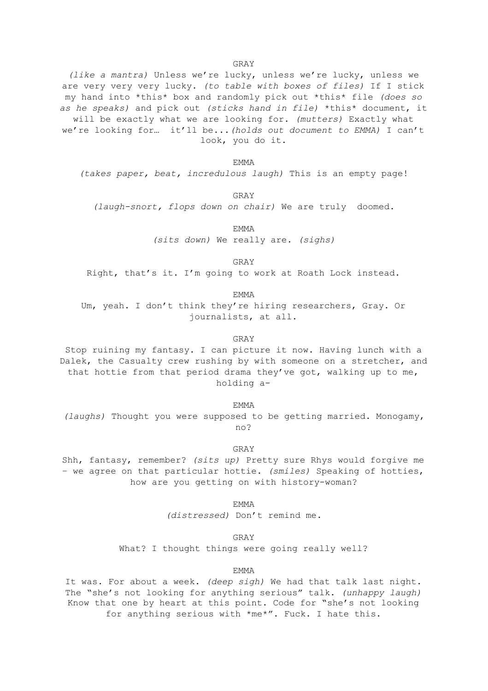*(like a mantra)* Unless we're lucky, unless we're lucky, unless we are very very very lucky. *(to table with boxes of files)* If I stick my hand into \*this\* box and randomly pick out \*this\* file *(does so as he speaks)* and pick out *(sticks hand in file)* \*this\* document, it will be exactly what we are looking for. *(mutters)* Exactly what we're looking for… it'll be...*(holds out document to EMMA)* I can't look, you do it.

EMMA

*(takes paper, beat, incredulous laugh)* This is an empty page!

GRAY

*(laugh-snort, flops down on chair)* We are truly doomed.

EMMA *(sits down)* We really are. *(sighs)*

GRAY

Right, that's it. I'm going to work at Roath Lock instead.

EMMA

Um, yeah. I don't think they're hiring researchers, Gray. Or journalists, at all.

#### GRAY

Stop ruining my fantasy. I can picture it now. Having lunch with a Dalek, the Casualty crew rushing by with someone on a stretcher, and that hottie from that period drama they've got, walking up to me, holding a-

EMMA *(laughs)* Thought you were supposed to be getting married. Monogamy, no?

GRAY

Shh, fantasy, remember? *(sits up)* Pretty sure Rhys would forgive me – we agree on that particular hottie. *(smiles)* Speaking of hotties, how are you getting on with history-woman?

> EMMA *(distressed)* Don't remind me.

> > GRAY

What? I thought things were going really well?

#### EMMA

It was. For about a week. *(deep sigh)* We had that talk last night. The "she's not looking for anything serious" talk. *(unhappy laugh)* Know that one by heart at this point. Code for "she's not looking for anything serious with \*me\*". Fuck. I hate this.

GRAY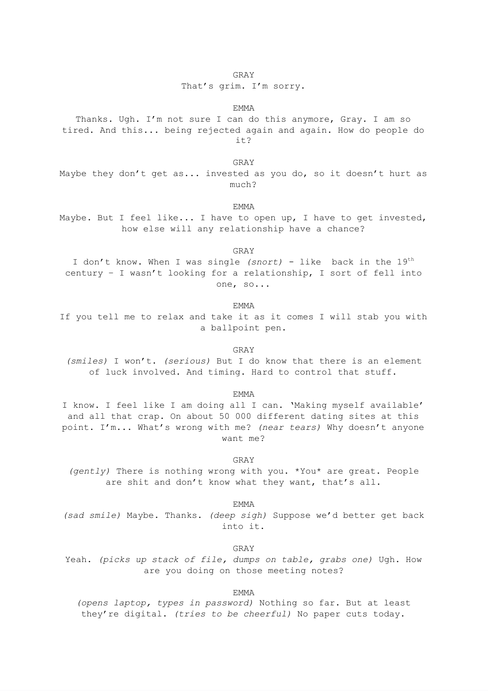That's grim. I'm sorry.

#### EMMA

Thanks. Ugh. I'm not sure I can do this anymore, Gray. I am so tired. And this... being rejected again and again. How do people do it?

GRAY

Maybe they don't get as... invested as you do, so it doesn't hurt as much?

EMMA

Maybe. But I feel like... I have to open up, I have to get invested, how else will any relationship have a chance?

GRAY

I don't know. When I was single *(snort)* - like back in the 19<sup>th</sup> century – I wasn't looking for a relationship, I sort of fell into one, so...

EMMA

If you tell me to relax and take it as it comes I will stab you with a ballpoint pen.

GRAY

*(smiles)* I won't. *(serious)* But I do know that there is an element of luck involved. And timing. Hard to control that stuff.

EMMA

I know. I feel like I am doing all I can. 'Making myself available' and all that crap. On about 50 000 different dating sites at this point. I'm... What's wrong with me? *(near tears)* Why doesn't anyone want me?

GRAY

*(gently)* There is nothing wrong with you. \*You\* are great. People are shit and don't know what they want, that's all.

EMMA

*(sad smile)* Maybe. Thanks. *(deep sigh)* Suppose we'd better get back into it.

GRAY

Yeah. *(picks up stack of file, dumps on table, grabs one)* Ugh. How are you doing on those meeting notes?

EMMA

*(opens laptop, types in password)* Nothing so far. But at least they're digital. *(tries to be cheerful)* No paper cuts today.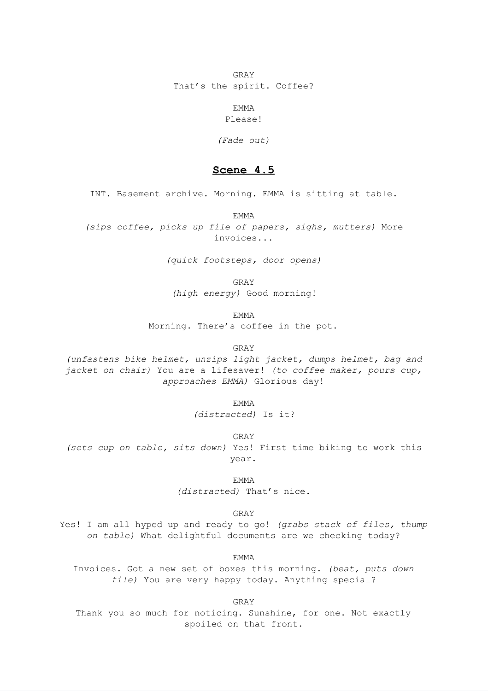GRAY That's the spirit. Coffee?

> EMMA Please!

*(Fade out)*

### **Scene 4.5**

INT. Basement archive. Morning. EMMA is sitting at table.

EMMA

*(sips coffee, picks up file of papers, sighs, mutters)* More invoices...

*(quick footsteps, door opens)*

GRAY

*(high energy)* Good morning!

EMMA

Morning. There's coffee in the pot.

GRAY

*(unfastens bike helmet, unzips light jacket, dumps helmet, bag and jacket on chair)* You are a lifesaver! *(to coffee maker, pours cup, approaches EMMA)* Glorious day!

> EMMA *(distracted)* Is it?

GRAY *(sets cup on table, sits down)* Yes! First time biking to work this year.

> EMMA *(distracted)* That's nice.

> > GRAY

Yes! I am all hyped up and ready to go! *(grabs stack of files, thump on table)* What delightful documents are we checking today?

EMMA

Invoices. Got a new set of boxes this morning. *(beat, puts down file)* You are very happy today. Anything special?

GRAY

Thank you so much for noticing. Sunshine, for one. Not exactly spoiled on that front.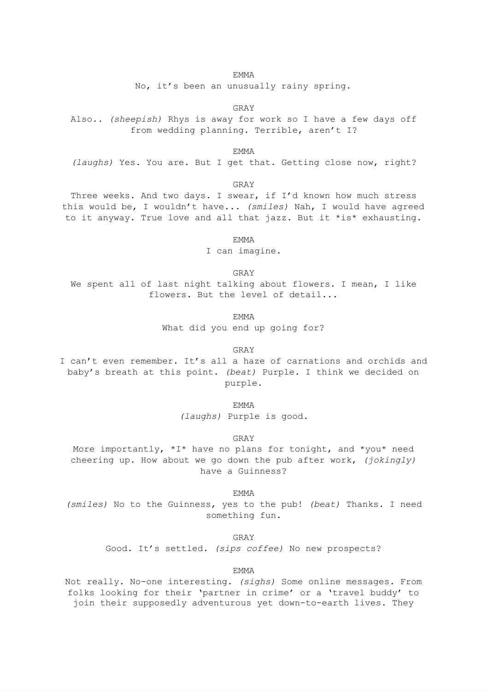No, it's been an unusually rainy spring.

GRAY

Also.. *(sheepish)* Rhys is away for work so I have a few days off from wedding planning. Terrible, aren't I?

EMMA

*(laughs)* Yes. You are. But I get that. Getting close now, right?

GRAY

Three weeks. And two days. I swear, if I'd known how much stress this would be, I wouldn't have... *(smiles)* Nah, I would have agreed to it anyway. True love and all that jazz. But it \*is\* exhausting.

EMMA

I can imagine.

GRAY

We spent all of last night talking about flowers. I mean, I like flowers. But the level of detail...

EMMA

What did you end up going for?

GRAY

I can't even remember. It's all a haze of carnations and orchids and baby's breath at this point. *(beat)* Purple. I think we decided on purple.

EMMA

*(laughs)* Purple is good.

GRAY

More importantly,  $*I*$  have no plans for tonight, and  $*you*$  need cheering up. How about we go down the pub after work, *(jokingly)* have a Guinness?

EMMA

*(smiles)* No to the Guinness, yes to the pub! *(beat)* Thanks. I need something fun.

GRAY

Good. It's settled. *(sips coffee)* No new prospects?

EMMA

Not really. No-one interesting. *(sighs)* Some online messages. From folks looking for their 'partner in crime' or a 'travel buddy' to join their supposedly adventurous yet down-to-earth lives. They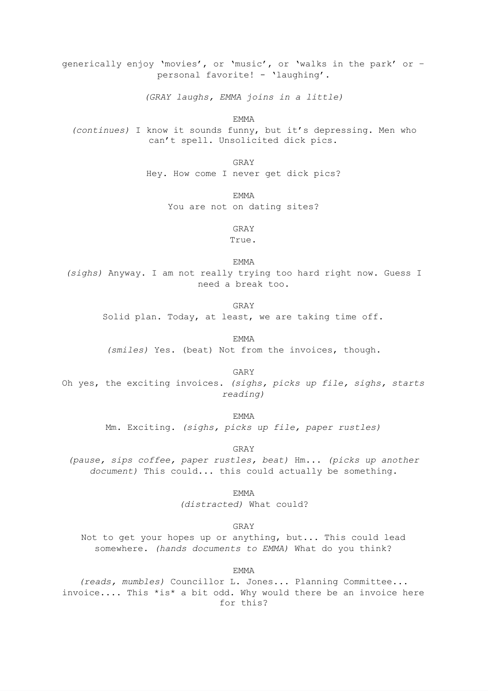generically enjoy 'movies', or 'music', or 'walks in the park' or – personal favorite! - 'laughing'.

*(GRAY laughs, EMMA joins in a little)*

EMMA

*(continues)* I know it sounds funny, but it's depressing. Men who can't spell. Unsolicited dick pics.

> GRAY Hey. How come I never get dick pics?

> > EMMA

You are not on dating sites?

GRAY True.

EMMA

*(sighs)* Anyway. I am not really trying too hard right now. Guess I need a break too.

GRAY

Solid plan. Today, at least, we are taking time off.

EMMA

*(smiles)* Yes. (beat) Not from the invoices, though.

GARY

Oh yes, the exciting invoices. *(sighs, picks up file, sighs, starts reading)*

EMMA

Mm. Exciting. *(sighs, picks up file, paper rustles)*

GRAY

*(pause, sips coffee, paper rustles, beat)* Hm... *(picks up another document)* This could... this could actually be something.

> EMMA *(distracted)* What could?

> > GRAY

Not to get your hopes up or anything, but... This could lead somewhere. *(hands documents to EMMA)* What do you think?

EMMA

*(reads, mumbles)* Councillor L. Jones... Planning Committee... invoice.... This \*is\* a bit odd. Why would there be an invoice here for this?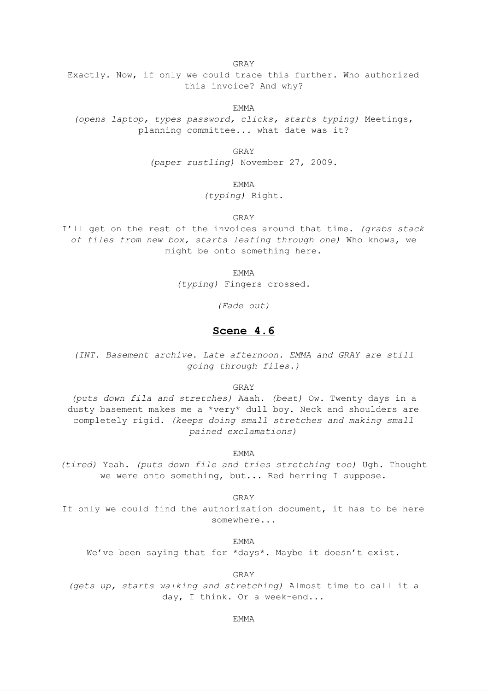GRAY

Exactly. Now, if only we could trace this further. Who authorized this invoice? And why?

EMMA

*(opens laptop, types password, clicks, starts typing)* Meetings, planning committee... what date was it?

GRAY

*(paper rustling)* November 27, 2009.

EMMA

*(typing)* Right.

GRAY

I'll get on the rest of the invoices around that time. *(grabs stack of files from new box, starts leafing through one)* Who knows, we might be onto something here.

EMMA

*(typing)* Fingers crossed.

*(Fade out)*

### **Scene 4.6**

*(INT. Basement archive. Late afternoon. EMMA and GRAY are still going through files.)*

GRAY

*(puts down fila and stretches)* Aaah. *(beat)* Ow. Twenty days in a dusty basement makes me a \*very\* dull boy. Neck and shoulders are completely rigid. *(keeps doing small stretches and making small pained exclamations)*

EMMA

*(tired)* Yeah. *(puts down file and tries stretching too)* Ugh. Thought we were onto something, but... Red herring I suppose.

GRAY

If only we could find the authorization document, it has to be here somewhere...

EMMA

We've been saying that for \*days\*. Maybe it doesn't exist.

GRAY

*(gets up, starts walking and stretching)* Almost time to call it a day, I think. Or a week-end...

#### EMMA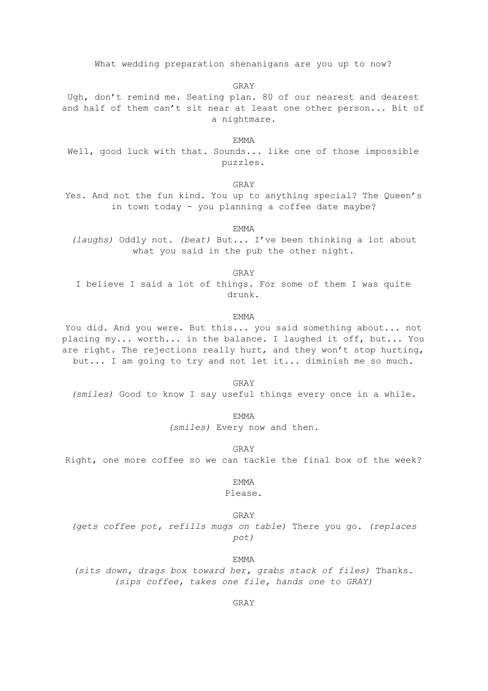What wedding preparation shenanigans are you up to now?

GRAY

Ugh, don't remind me. Seating plan. 80 of our nearest and dearest and half of them can't sit near at least one other person... Bit of a nightmare.

EMMA

Well, good luck with that. Sounds... like one of those impossible puzzles.

GRAY

Yes. And not the fun kind. You up to anything special? The Queen's in town today - you planning a coffee date maybe?

EMMA

*(laughs)* Oddly not. *(beat)* But... I've been thinking a lot about what you said in the pub the other night.

GRAY

I believe I said a lot of things. For some of them I was quite drunk.

EMMA

You did. And you were. But this... you said something about... not placing my... worth... in the balance. I laughed it off, but... You are right. The rejections really hurt, and they won't stop hurting, but... I am going to try and not let it... diminish me so much.

GRAY *(smiles)* Good to know I say useful things every once in a while.

EMMA

*(smiles)* Every now and then.

GRAY

Right, one more coffee so we can tackle the final box of the week?

EMMA

Please.

GRAY

*(gets coffee pot, refills mugs on table)* There you go. *(replaces pot)*

EMMA

*(sits down, drags box toward her, grabs stack of files)* Thanks. *(sips coffee, takes one file, hands one to GRAY)*

GRAY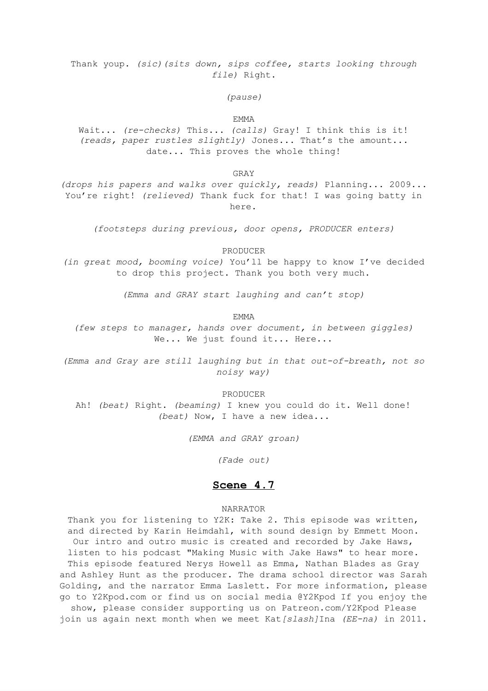Thank youp. *(sic)(sits down, sips coffee, starts looking through file)* Right.

*(pause)*

#### EMMA

Wait... *(re-checks)* This... *(calls)* Gray! I think this is it! *(reads, paper rustles slightly)* Jones... That's the amount... date... This proves the whole thing!

GRAY

*(drops his papers and walks over quickly, reads)* Planning... 2009... You're right! *(relieved)* Thank fuck for that! I was going batty in here.

*(footsteps during previous, door opens, PRODUCER enters)*

PRODUCER

*(in great mood, booming voice)* You'll be happy to know I've decided to drop this project. Thank you both very much.

*(Emma and GRAY start laughing and can't stop)*

EMMA

*(few steps to manager, hands over document, in between giggles)* We... We just found it... Here...

*(Emma and Gray are still laughing but in that out-of-breath, not so noisy way)*

PRODUCER

Ah! *(beat)* Right. *(beaming)* I knew you could do it. Well done! *(beat)* Now, I have a new idea...

*(EMMA and GRAY groan)*

*(Fade out)*

### **Scene 4.7**

#### NARRATOR

Thank you for listening to Y2K: Take 2. This episode was written, and directed by Karin Heimdahl, with sound design by Emmett Moon. Our intro and outro music is created and recorded by Jake Haws, listen to his podcast "Making Music with Jake Haws" to hear more. This episode featured Nerys Howell as Emma, Nathan Blades as Gray and Ashley Hunt as the producer. The drama school director was Sarah Golding, and the narrator Emma Laslett. For more information, please go to Y2Kpod.com or find us on social media @Y2Kpod If you enjoy the

show, please consider supporting us on Patreon.com/Y2Kpod Please join us again next month when we meet Kat*[slash]*Ina *(EE-na)* in 2011.